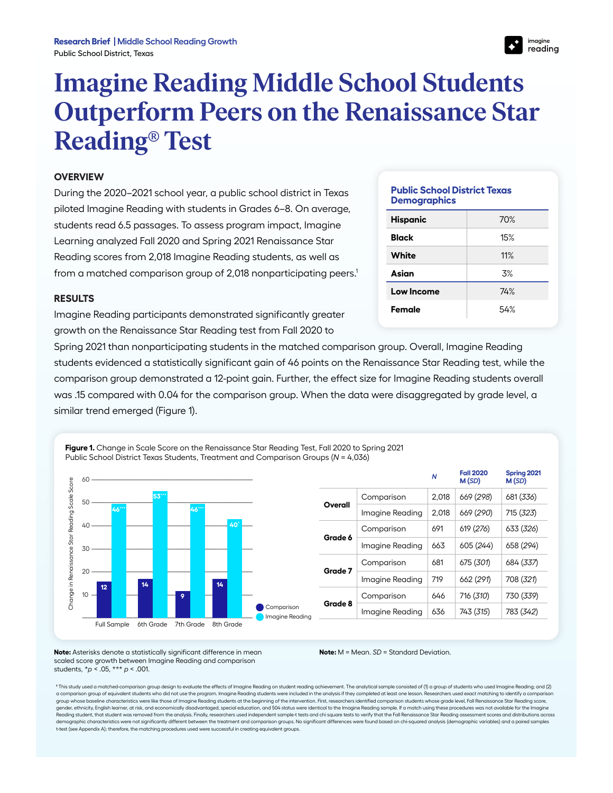## **Imagine Reading Middle School Students Outperform Peers on the Renaissance Star Reading® Test**

## **OVERVIEW**

During the 2020–2021 school year, a public school district in Texas piloted Imagine Reading with students in Grades 6–8. On average, students read 6.5 passages. To assess program impact, Imagine Learning analyzed Fall 2020 and Spring 2021 Renaissance Star Reading scores from 2,018 Imagine Reading students, as well as from a matched comparison group of 2,018 nonparticipating peers.<sup>1</sup>

## **RESULTS**

Imagine Reading participants demonstrated significantly greater growth on the Renaissance Star Reading test from Fall 2020 to

**Public School District Texas Demographics**

| <b>Hispanic</b> | 70% |  |  |
|-----------------|-----|--|--|
| <b>Black</b>    | 15% |  |  |
| <b>White</b>    | 11% |  |  |
| Asian           | 3%  |  |  |
| Low Income      | 74% |  |  |
| Female          | 54% |  |  |
|                 |     |  |  |

Spring 2021 than nonparticipating students in the matched comparison group. Overall, Imagine Reading students evidenced a statistically significant gain of 46 points on the Renaissance Star Reading test, while the comparison group demonstrated a 12-point gain. Further, the effect size for Imagine Reading students overall was .15 compared with 0.04 for the comparison group. When the data were disaggregated by grade level, a similar trend emerged (Figure 1).

**Figure 1.** Change in Scale Score on the Renaissance Star Reading Test, Fall 2020 to Spring 2021 Public School District Texas Students, Treatment and Comparison Groups (*N* = 4,036) *<sup>N</sup>* **Fall 2020 Spring 2021** Score 60 -------------------------------------------------------------------------------------------------------- **M (***SD***) M (***SD***)** Change in Renaissance Star Reading Scale Score Change in Renaissance Star Reading Scale **53\*\*\*** Comparison 2,018 669 (*298*) 681 (*336*) 50 -------------------------------------------------------------------------------------------------------- **Overall 46\*\*\* 46\*\*\*** Imagine Reading 2,018 669 (*290*) 715 (*323*) 40 -------------------------------------------------------------------------------------------------------- **40\*** Comparison 691 619 (*276*) 633 (*326*) **Grade 6** Imagine Reading | 663 | 605 (244) | 658 (294) 30 -------------------------------------------------------------------------------------------------------- Comparison 681 675 (*301*) 684 (*337*) **Grade 7** 20 -------------------------------------------------------------------------------------------------------- Imagine Reading 719 662 (*291*) 708 (*321*) **14 14 12** Comparison 646 716 (*310*) 730 (*339*) 10 -------------------------------------------------------------------------------------------------------- **9 Grade 8 Comparison** Imagine Reading 636 743 (*315*) 783 (*342*) **Imagine Reading** -------------------------------------------------------------------------------------------------------------- Full Sample 6th Grade 7th Grade 8th Grade

**Note:** Asterisks denote a statistically significant difference in mean scaled score growth between Imagine Reading and comparison students, \**p* < .05, \*\*\* *p* < .001.

**Note:** M = Mean. *SD* = Standard Deviation.

1This study used a matched-comparison group design to evaluate the effects of Imagine Reading on student reading achievement. The analytical sample consisted of (1) a group of students who used Imagine Reading; and (2) a comparison group of equivalent students who did not use the program. Imagine Reading students were included in the analysis if they completed at least one lesson. Researchers used exact matching to identify a comparison group whose baseline characteristics were like those of Imagine Reading students at the beginning of the intervention. First, researchers identified comparison students whose grade level, Fall Renaissance Star Reading score, gender, ethnicity, English learner, at risk, and economically disadvantaged, special education, and 504 status were identical to the Imagine Reading sample. If a match using these procedures was not available for the Imagine Reading student, that student was removed from the analysis. Finally, researchers used independent sample-t tests and chi square tests to verify that the Fall Rengissance Star Reading assessment scores and distributions ac demographic characteristics were not significantly different between the treatment and comparison groups. No significant differences were found based on chi-squared analysis (demographic variables) and a paired samples t-test (see Appendix A); therefore, the matching procedures used were successful in creating equivalent groups.